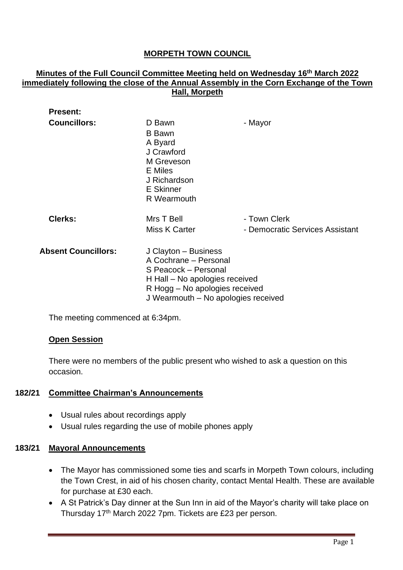# **MORPETH TOWN COUNCIL**

## **Minutes of the Full Council Committee Meeting held on Wednesday 16th March 2022 immediately following the close of the Annual Assembly in the Corn Exchange of the Town Hall, Morpeth**

| <b>Present:</b>            |                                     |                                 |
|----------------------------|-------------------------------------|---------------------------------|
| <b>Councillors:</b>        | D Bawn<br><b>B</b> Bawn             | - Mayor                         |
|                            | A Byard<br>J Crawford               |                                 |
|                            | M Greveson                          |                                 |
|                            | E Miles<br>J Richardson             |                                 |
|                            | <b>E</b> Skinner                    |                                 |
|                            | R Wearmouth                         |                                 |
| <b>Clerks:</b>             | Mrs T Bell                          | - Town Clerk                    |
|                            | <b>Miss K Carter</b>                | - Democratic Services Assistant |
| <b>Absent Councillors:</b> | J Clayton - Business                |                                 |
|                            | A Cochrane - Personal               |                                 |
|                            | S Peacock - Personal                |                                 |
|                            | H Hall – No apologies received      |                                 |
|                            | R Hogg - No apologies received      |                                 |
|                            | J Wearmouth - No apologies received |                                 |

The meeting commenced at 6:34pm.

## **Open Session**

There were no members of the public present who wished to ask a question on this occasion.

## **182/21 Committee Chairman's Announcements**

- Usual rules about recordings apply
- Usual rules regarding the use of mobile phones apply

## **183/21 Mayoral Announcements**

- The Mayor has commissioned some ties and scarfs in Morpeth Town colours, including the Town Crest, in aid of his chosen charity, contact Mental Health. These are available for purchase at £30 each.
- A St Patrick's Day dinner at the Sun Inn in aid of the Mayor's charity will take place on Thursday 17<sup>th</sup> March 2022 7pm. Tickets are £23 per person.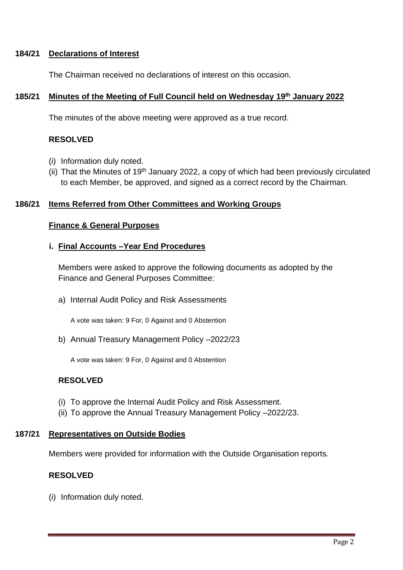## **184/21 Declarations of Interest**

The Chairman received no declarations of interest on this occasion.

## **185/21 Minutes of the Meeting of Full Council held on Wednesday 19 th January 2022**

The minutes of the above meeting were approved as a true record.

# **RESOLVED**

- (i) Information duly noted.
- (ii) That the Minutes of  $19<sup>th</sup>$  January 2022, a copy of which had been previously circulated to each Member, be approved, and signed as a correct record by the Chairman.

## **186/21 Items Referred from Other Committees and Working Groups**

#### **Finance & General Purposes**

#### **i. Final Accounts –Year End Procedures**

Members were asked to approve the following documents as adopted by the Finance and General Purposes Committee:

a) Internal Audit Policy and Risk Assessments

A vote was taken: 9 For, 0 Against and 0 Abstention

b) Annual Treasury Management Policy –2022/23

A vote was taken: 9 For, 0 Against and 0 Abstention

## **RESOLVED**

- (i) To approve the Internal Audit Policy and Risk Assessment.
- (ii) To approve the Annual Treasury Management Policy –2022/23.

#### **187/21 Representatives on Outside Bodies**

Members were provided for information with the Outside Organisation reports.

## **RESOLVED**

(i) Information duly noted.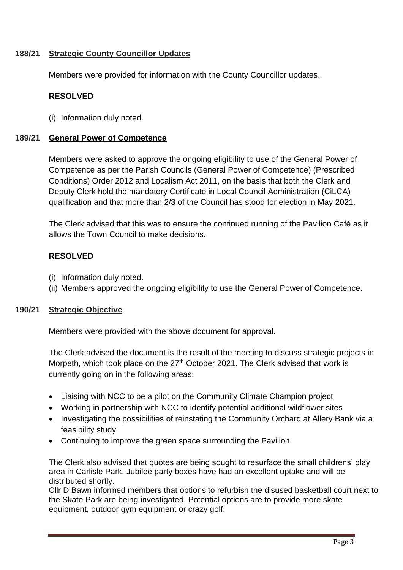## **188/21 Strategic County Councillor Updates**

Members were provided for information with the County Councillor updates.

## **RESOLVED**

(i) Information duly noted.

## **189/21 General Power of Competence**

Members were asked to approve the ongoing eligibility to use of the General Power of Competence as per the Parish Councils (General Power of Competence) (Prescribed Conditions) Order 2012 and Localism Act 2011, on the basis that both the Clerk and Deputy Clerk hold the mandatory Certificate in Local Council Administration (CiLCA) qualification and that more than 2/3 of the Council has stood for election in May 2021.

The Clerk advised that this was to ensure the continued running of the Pavilion Café as it allows the Town Council to make decisions.

# **RESOLVED**

- (i) Information duly noted.
- (ii) Members approved the ongoing eligibility to use the General Power of Competence.

## **190/21 Strategic Objective**

Members were provided with the above document for approval.

The Clerk advised the document is the result of the meeting to discuss strategic projects in Morpeth, which took place on the 27<sup>th</sup> October 2021. The Clerk advised that work is currently going on in the following areas:

- Liaising with NCC to be a pilot on the Community Climate Champion project
- Working in partnership with NCC to identify potential additional wildflower sites
- Investigating the possibilities of reinstating the Community Orchard at Allery Bank via a feasibility study
- Continuing to improve the green space surrounding the Pavilion

The Clerk also advised that quotes are being sought to resurface the small childrens' play area in Carlisle Park. Jubilee party boxes have had an excellent uptake and will be distributed shortly.

Cllr D Bawn informed members that options to refurbish the disused basketball court next to the Skate Park are being investigated. Potential options are to provide more skate equipment, outdoor gym equipment or crazy golf.